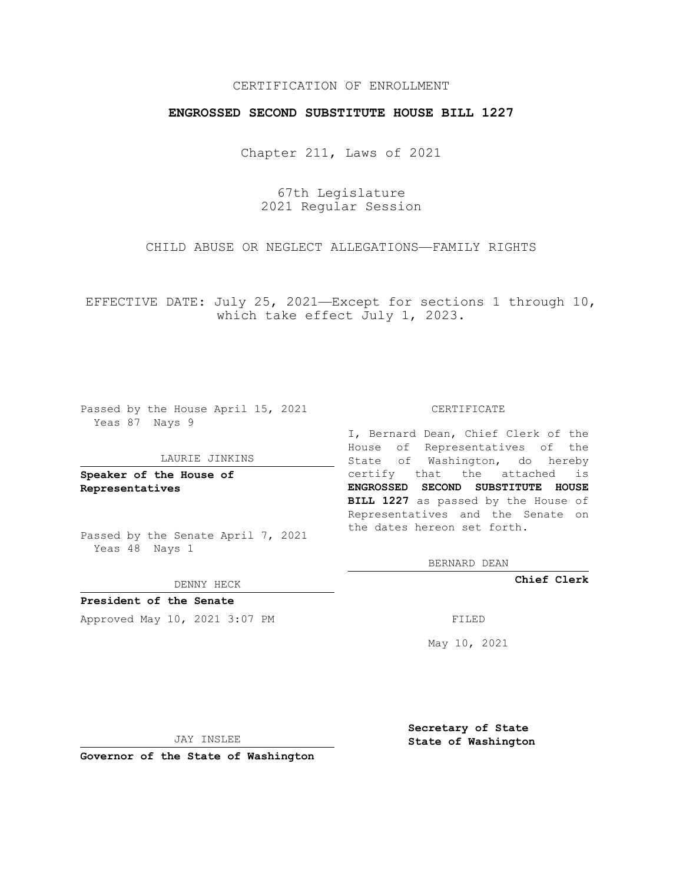## CERTIFICATION OF ENROLLMENT

## **ENGROSSED SECOND SUBSTITUTE HOUSE BILL 1227**

Chapter 211, Laws of 2021

67th Legislature 2021 Regular Session

CHILD ABUSE OR NEGLECT ALLEGATIONS—FAMILY RIGHTS

EFFECTIVE DATE: July 25, 2021—Except for sections 1 through 10, which take effect July 1, 2023.

Passed by the House April 15, 2021 Yeas 87 Nays 9

#### LAURIE JINKINS

**Speaker of the House of Representatives**

Passed by the Senate April 7, 2021 Yeas 48 Nays 1

DENNY HECK

**President of the Senate** Approved May 10, 2021 3:07 PM FILED

#### CERTIFICATE

I, Bernard Dean, Chief Clerk of the House of Representatives of the State of Washington, do hereby certify that the attached is **ENGROSSED SECOND SUBSTITUTE HOUSE BILL 1227** as passed by the House of Representatives and the Senate on the dates hereon set forth.

BERNARD DEAN

**Chief Clerk**

May 10, 2021

JAY INSLEE

**Governor of the State of Washington**

**Secretary of State State of Washington**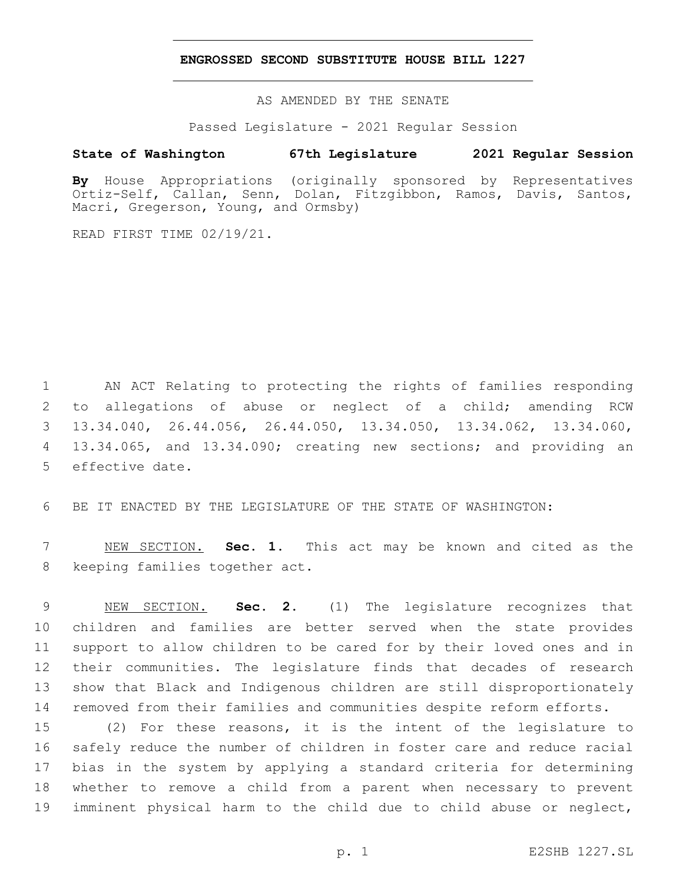### **ENGROSSED SECOND SUBSTITUTE HOUSE BILL 1227**

AS AMENDED BY THE SENATE

Passed Legislature - 2021 Regular Session

## **State of Washington 67th Legislature 2021 Regular Session**

**By** House Appropriations (originally sponsored by Representatives Ortiz-Self, Callan, Senn, Dolan, Fitzgibbon, Ramos, Davis, Santos, Macri, Gregerson, Young, and Ormsby)

READ FIRST TIME 02/19/21.

 AN ACT Relating to protecting the rights of families responding to allegations of abuse or neglect of a child; amending RCW 13.34.040, 26.44.056, 26.44.050, 13.34.050, 13.34.062, 13.34.060, 13.34.065, and 13.34.090; creating new sections; and providing an 5 effective date.

BE IT ENACTED BY THE LEGISLATURE OF THE STATE OF WASHINGTON:

 NEW SECTION. **Sec. 1.** This act may be known and cited as the keeping families together act.

 NEW SECTION. **Sec. 2.** (1) The legislature recognizes that children and families are better served when the state provides support to allow children to be cared for by their loved ones and in their communities. The legislature finds that decades of research show that Black and Indigenous children are still disproportionately removed from their families and communities despite reform efforts.

 (2) For these reasons, it is the intent of the legislature to safely reduce the number of children in foster care and reduce racial bias in the system by applying a standard criteria for determining whether to remove a child from a parent when necessary to prevent imminent physical harm to the child due to child abuse or neglect,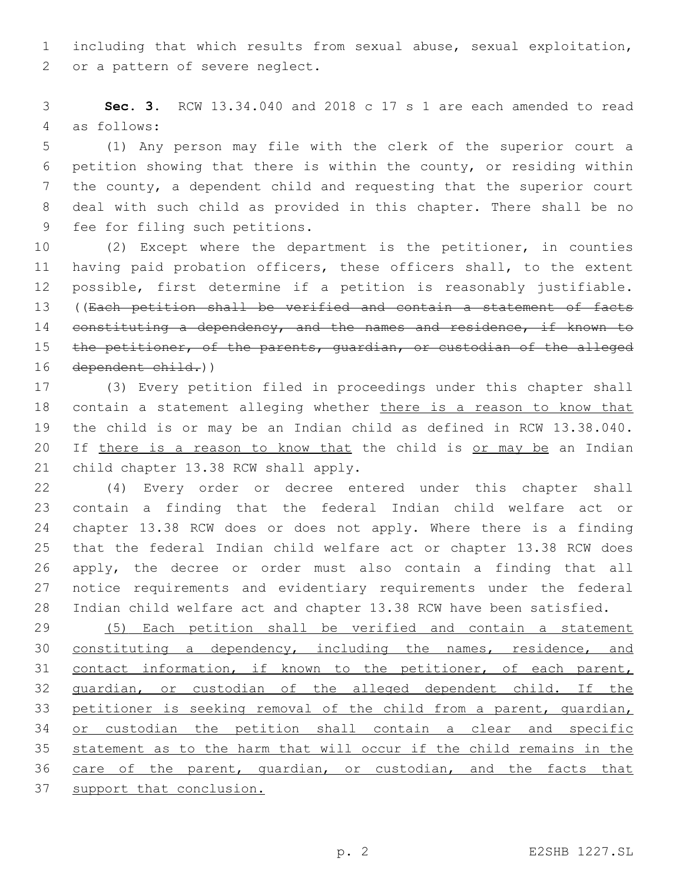including that which results from sexual abuse, sexual exploitation, 2 or a pattern of severe neglect.

 **Sec. 3.** RCW 13.34.040 and 2018 c 17 s 1 are each amended to read as follows:4

 (1) Any person may file with the clerk of the superior court a petition showing that there is within the county, or residing within the county, a dependent child and requesting that the superior court deal with such child as provided in this chapter. There shall be no 9 fee for filing such petitions.

 (2) Except where the department is the petitioner, in counties having paid probation officers, these officers shall, to the extent possible, first determine if a petition is reasonably justifiable. ((Each petition shall be verified and contain a statement of facts 14 constituting a dependency, and the names and residence, if known to 15 the petitioner, of the parents, quardian, or custodian of the alleged dependent child.))

 (3) Every petition filed in proceedings under this chapter shall 18 contain a statement alleging whether there is a reason to know that the child is or may be an Indian child as defined in RCW 13.38.040. 20 If there is a reason to know that the child is or may be an Indian 21 child chapter 13.38 RCW shall apply.

 (4) Every order or decree entered under this chapter shall contain a finding that the federal Indian child welfare act or chapter 13.38 RCW does or does not apply. Where there is a finding that the federal Indian child welfare act or chapter 13.38 RCW does apply, the decree or order must also contain a finding that all notice requirements and evidentiary requirements under the federal Indian child welfare act and chapter 13.38 RCW have been satisfied.

 (5) Each petition shall be verified and contain a statement constituting a dependency, including the names, residence, and contact information, if known to the petitioner, of each parent, guardian, or custodian of the alleged dependent child. If the petitioner is seeking removal of the child from a parent, guardian, or custodian the petition shall contain a clear and specific statement as to the harm that will occur if the child remains in the care of the parent, guardian, or custodian, and the facts that support that conclusion.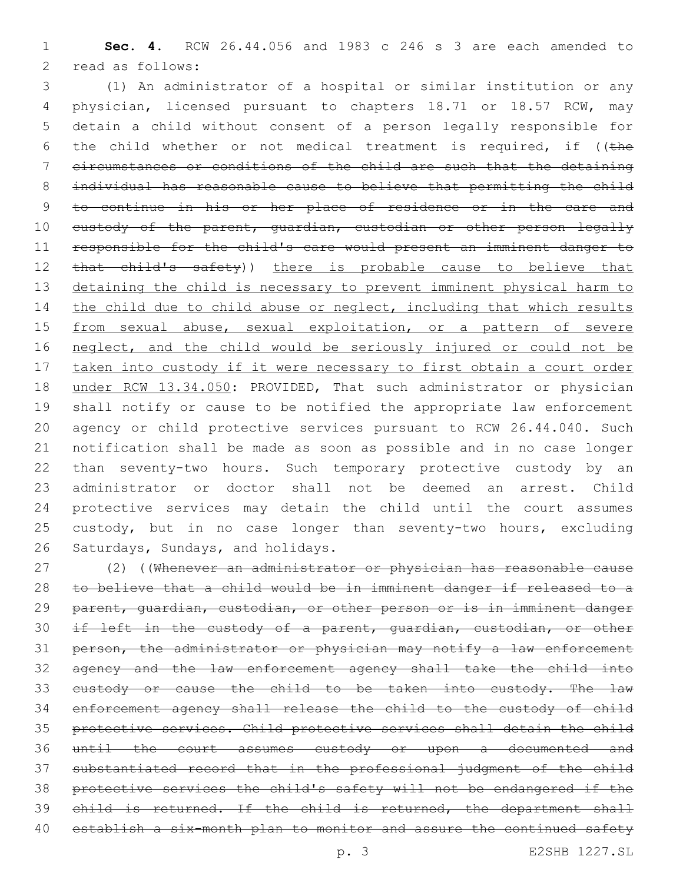**Sec. 4.** RCW 26.44.056 and 1983 c 246 s 3 are each amended to 2 read as follows:

 (1) An administrator of a hospital or similar institution or any physician, licensed pursuant to chapters 18.71 or 18.57 RCW, may detain a child without consent of a person legally responsible for 6 the child whether or not medical treatment is required, if ( $t$ he circumstances or conditions of the child are such that the detaining individual has reasonable cause to believe that permitting the child to continue in his or her place of residence or in the care and 10 custody of the parent, quardian, custodian or other person legally responsible for the child's care would present an imminent danger to 12 that child's safety)) there is probable cause to believe that 13 detaining the child is necessary to prevent imminent physical harm to 14 the child due to child abuse or neglect, including that which results 15 from sexual abuse, sexual exploitation, or a pattern of severe neglect, and the child would be seriously injured or could not be 17 taken into custody if it were necessary to first obtain a court order under RCW 13.34.050: PROVIDED, That such administrator or physician shall notify or cause to be notified the appropriate law enforcement agency or child protective services pursuant to RCW 26.44.040. Such notification shall be made as soon as possible and in no case longer than seventy-two hours. Such temporary protective custody by an administrator or doctor shall not be deemed an arrest. Child protective services may detain the child until the court assumes 25 custody, but in no case longer than seventy-two hours, excluding 26 Saturdays, Sundays, and holidays.

 (2) ((Whenever an administrator or physician has reasonable cause to believe that a child would be in imminent danger if released to a parent, guardian, custodian, or other person or is in imminent danger 30 if left in the custody of a parent, guardian, custodian, or other 31 person, the administrator or physician may notify a law enforcement agency and the law enforcement agency shall take the child into 33 eustody or cause the child to be taken into custody. The law enforcement agency shall release the child to the custody of child protective services. Child protective services shall detain the child until the court assumes custody or upon a documented and substantiated record that in the professional judgment of the child protective services the child's safety will not be endangered if the 39 child is returned. If the child is returned, the department shall 40 establish a six-month plan to monitor and assure the continued safety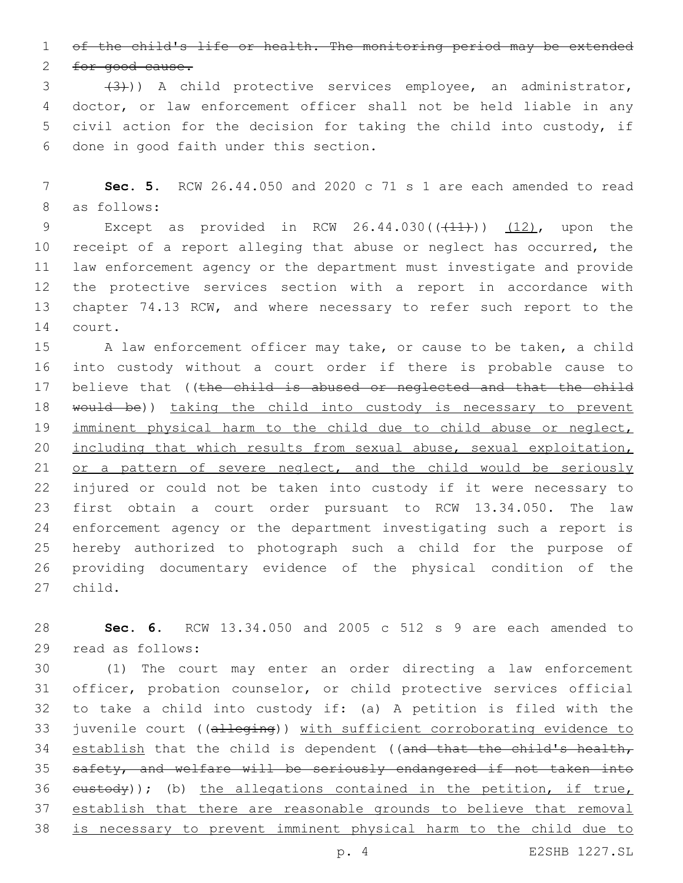1 of the child's life or health. The monitoring period may be extended

2 for good cause.

3 (3)) A child protective services employee, an administrator, 4 doctor, or law enforcement officer shall not be held liable in any 5 civil action for the decision for taking the child into custody, if 6 done in good faith under this section.

7 **Sec. 5.** RCW 26.44.050 and 2020 c 71 s 1 are each amended to read 8 as follows:

9 Except as provided in RCW  $26.44.030((\text{+11}))(\text{12}),$  upon the 10 receipt of a report alleging that abuse or neglect has occurred, the 11 law enforcement agency or the department must investigate and provide 12 the protective services section with a report in accordance with 13 chapter 74.13 RCW, and where necessary to refer such report to the 14 court.

15 A law enforcement officer may take, or cause to be taken, a child into custody without a court order if there is probable cause to 17 believe that ((the child is abused or neglected and that the child 18 would be)) taking the child into custody is necessary to prevent imminent physical harm to the child due to child abuse or neglect, including that which results from sexual abuse, sexual exploitation, 21 or a pattern of severe neglect, and the child would be seriously injured or could not be taken into custody if it were necessary to first obtain a court order pursuant to RCW 13.34.050. The law enforcement agency or the department investigating such a report is hereby authorized to photograph such a child for the purpose of providing documentary evidence of the physical condition of the 27 child.

28 **Sec. 6.** RCW 13.34.050 and 2005 c 512 s 9 are each amended to 29 read as follows:

 (1) The court may enter an order directing a law enforcement officer, probation counselor, or child protective services official to take a child into custody if: (a) A petition is filed with the 33 juvenile court ((alleging)) with sufficient corroborating evidence to 34 establish that the child is dependent ((and that the child's health, 35 safety, and welfare will be seriously endangered if not taken into  $e$ ustody)); (b) the allegations contained in the petition, if true, establish that there are reasonable grounds to believe that removal is necessary to prevent imminent physical harm to the child due to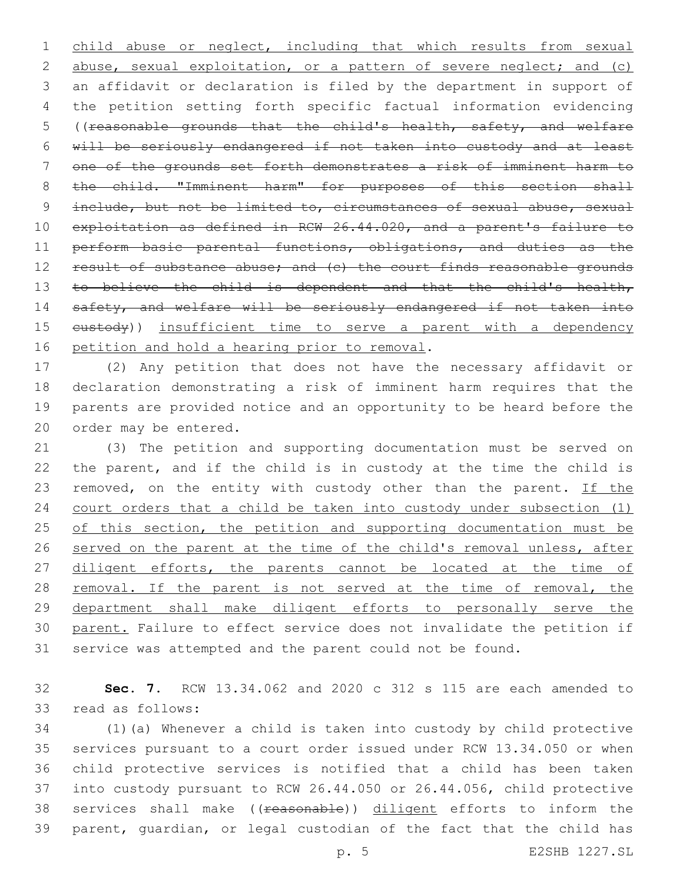1 child abuse or neglect, including that which results from sexual 2 abuse, sexual exploitation, or a pattern of severe neglect; and (c) 3 an affidavit or declaration is filed by the department in support of 4 the petition setting forth specific factual information evidencing 5 ((reasonable grounds that the child's health, safety, and welfare 6 will be seriously endangered if not taken into custody and at least 7 one of the grounds set forth demonstrates a risk of imminent harm to 8 the child. "Imminent harm" for purposes of this section shall 9 include, but not be limited to, circumstances of sexual abuse, sexual 10 exploitation as defined in RCW 26.44.020, and a parent's failure to 11 perform basic parental functions, obligations, and duties as the 12 result of substance abuse; and (c) the court finds reasonable grounds 13 to believe the child is dependent and that the child's health, 14 safety, and welfare will be seriously endangered if not taken into 15 eustody)) insufficient time to serve a parent with a dependency 16 petition and hold a hearing prior to removal.

 (2) Any petition that does not have the necessary affidavit or declaration demonstrating a risk of imminent harm requires that the parents are provided notice and an opportunity to be heard before the 20 order may be entered.

21 (3) The petition and supporting documentation must be served on 22 the parent, and if the child is in custody at the time the child is 23 removed, on the entity with custody other than the parent. If the 24 court orders that a child be taken into custody under subsection (1) 25 of this section, the petition and supporting documentation must be 26 served on the parent at the time of the child's removal unless, after 27 diligent efforts, the parents cannot be located at the time of 28 removal. If the parent is not served at the time of removal, the 29 department shall make diligent efforts to personally serve the 30 parent. Failure to effect service does not invalidate the petition if 31 service was attempted and the parent could not be found.

32 **Sec. 7.** RCW 13.34.062 and 2020 c 312 s 115 are each amended to 33 read as follows:

 (1)(a) Whenever a child is taken into custody by child protective services pursuant to a court order issued under RCW 13.34.050 or when child protective services is notified that a child has been taken into custody pursuant to RCW 26.44.050 or 26.44.056, child protective 38 services shall make ((reasonable)) diligent efforts to inform the parent, guardian, or legal custodian of the fact that the child has

p. 5 E2SHB 1227.SL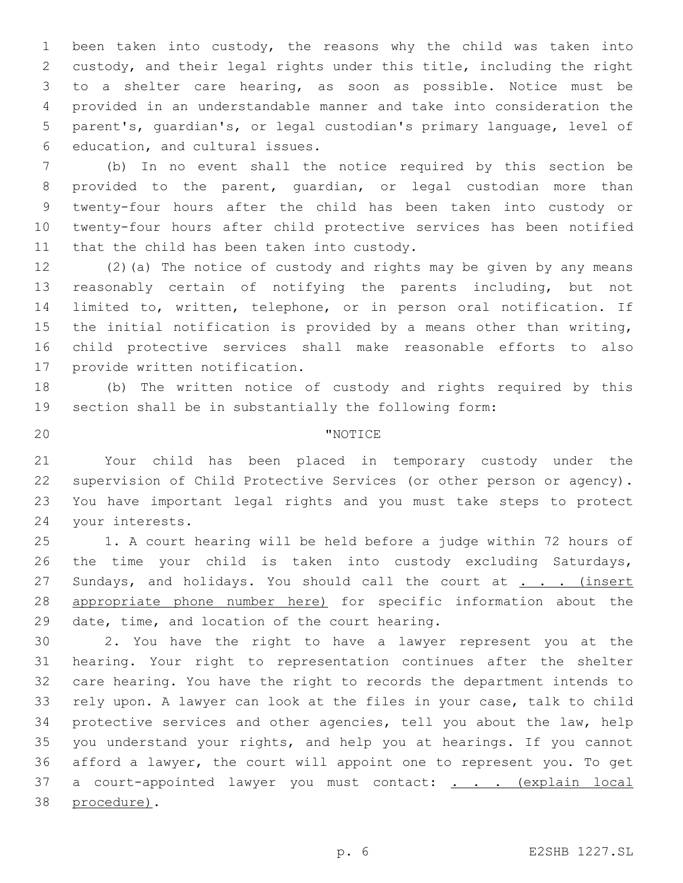been taken into custody, the reasons why the child was taken into custody, and their legal rights under this title, including the right to a shelter care hearing, as soon as possible. Notice must be provided in an understandable manner and take into consideration the parent's, guardian's, or legal custodian's primary language, level of 6 education, and cultural issues.

 (b) In no event shall the notice required by this section be provided to the parent, guardian, or legal custodian more than twenty-four hours after the child has been taken into custody or twenty-four hours after child protective services has been notified 11 that the child has been taken into custody.

 (2)(a) The notice of custody and rights may be given by any means reasonably certain of notifying the parents including, but not limited to, written, telephone, or in person oral notification. If the initial notification is provided by a means other than writing, child protective services shall make reasonable efforts to also 17 provide written notification.

 (b) The written notice of custody and rights required by this section shall be in substantially the following form:

# 20 TNOTICE

 Your child has been placed in temporary custody under the supervision of Child Protective Services (or other person or agency). You have important legal rights and you must take steps to protect 24 your interests.

 1. A court hearing will be held before a judge within 72 hours of the time your child is taken into custody excluding Saturdays, 27 Sundays, and holidays. You should call the court at . . . (insert appropriate phone number here) for specific information about the 29 date, time, and location of the court hearing.

 2. You have the right to have a lawyer represent you at the hearing. Your right to representation continues after the shelter care hearing. You have the right to records the department intends to rely upon. A lawyer can look at the files in your case, talk to child protective services and other agencies, tell you about the law, help you understand your rights, and help you at hearings. If you cannot afford a lawyer, the court will appoint one to represent you. To get 37 a court-appointed lawyer you must contact: . . . (explain local 38 procedure).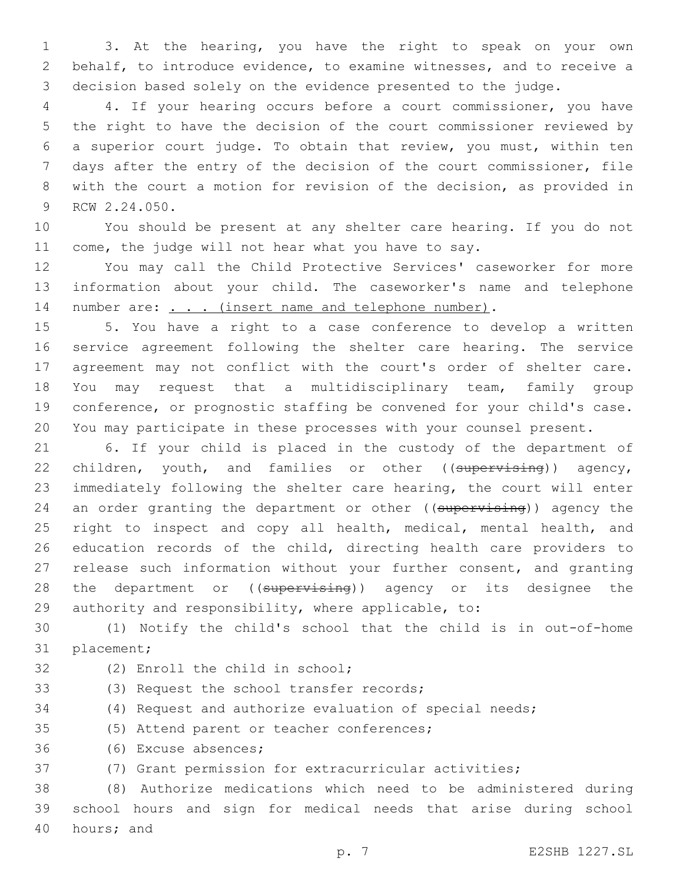3. At the hearing, you have the right to speak on your own behalf, to introduce evidence, to examine witnesses, and to receive a decision based solely on the evidence presented to the judge.

 4. If your hearing occurs before a court commissioner, you have the right to have the decision of the court commissioner reviewed by a superior court judge. To obtain that review, you must, within ten days after the entry of the decision of the court commissioner, file with the court a motion for revision of the decision, as provided in 9 RCW 2.24.050.

 You should be present at any shelter care hearing. If you do not come, the judge will not hear what you have to say.

 You may call the Child Protective Services' caseworker for more information about your child. The caseworker's name and telephone 14 number are: . . . (insert name and telephone number).

 5. You have a right to a case conference to develop a written service agreement following the shelter care hearing. The service agreement may not conflict with the court's order of shelter care. You may request that a multidisciplinary team, family group conference, or prognostic staffing be convened for your child's case. You may participate in these processes with your counsel present.

 6. If your child is placed in the custody of the department of 22 children, youth, and families or other ((supervising)) agency, immediately following the shelter care hearing, the court will enter 24 an order granting the department or other ((supervising)) agency the 25 right to inspect and copy all health, medical, mental health, and education records of the child, directing health care providers to release such information without your further consent, and granting 28 the department or ((supervising)) agency or its designee the authority and responsibility, where applicable, to:

 (1) Notify the child's school that the child is in out-of-home 31 placement;

32 (2) Enroll the child in school; 33 (3) Request the school transfer records; (4) Request and authorize evaluation of special needs; 35 (5) Attend parent or teacher conferences; 36 (6) Excuse absences;

(7) Grant permission for extracurricular activities;

 (8) Authorize medications which need to be administered during school hours and sign for medical needs that arise during school 40 hours; and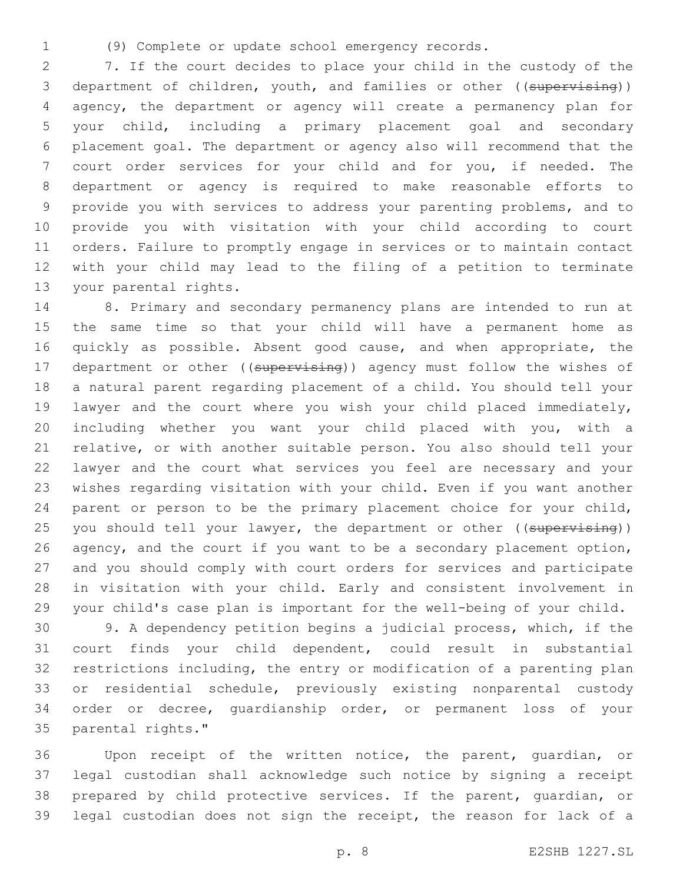(9) Complete or update school emergency records.

 7. If the court decides to place your child in the custody of the 3 department of children, youth, and families or other ((supervising)) agency, the department or agency will create a permanency plan for your child, including a primary placement goal and secondary placement goal. The department or agency also will recommend that the court order services for your child and for you, if needed. The department or agency is required to make reasonable efforts to provide you with services to address your parenting problems, and to provide you with visitation with your child according to court orders. Failure to promptly engage in services or to maintain contact with your child may lead to the filing of a petition to terminate 13 your parental rights.

 8. Primary and secondary permanency plans are intended to run at the same time so that your child will have a permanent home as 16 quickly as possible. Absent good cause, and when appropriate, the 17 department or other ((supervising)) agency must follow the wishes of a natural parent regarding placement of a child. You should tell your lawyer and the court where you wish your child placed immediately, including whether you want your child placed with you, with a relative, or with another suitable person. You also should tell your lawyer and the court what services you feel are necessary and your wishes regarding visitation with your child. Even if you want another parent or person to be the primary placement choice for your child, 25 you should tell your lawyer, the department or other ((supervising)) 26 agency, and the court if you want to be a secondary placement option, and you should comply with court orders for services and participate in visitation with your child. Early and consistent involvement in your child's case plan is important for the well-being of your child.

 9. A dependency petition begins a judicial process, which, if the court finds your child dependent, could result in substantial restrictions including, the entry or modification of a parenting plan or residential schedule, previously existing nonparental custody order or decree, guardianship order, or permanent loss of your 35 parental rights."

 Upon receipt of the written notice, the parent, guardian, or legal custodian shall acknowledge such notice by signing a receipt prepared by child protective services. If the parent, guardian, or legal custodian does not sign the receipt, the reason for lack of a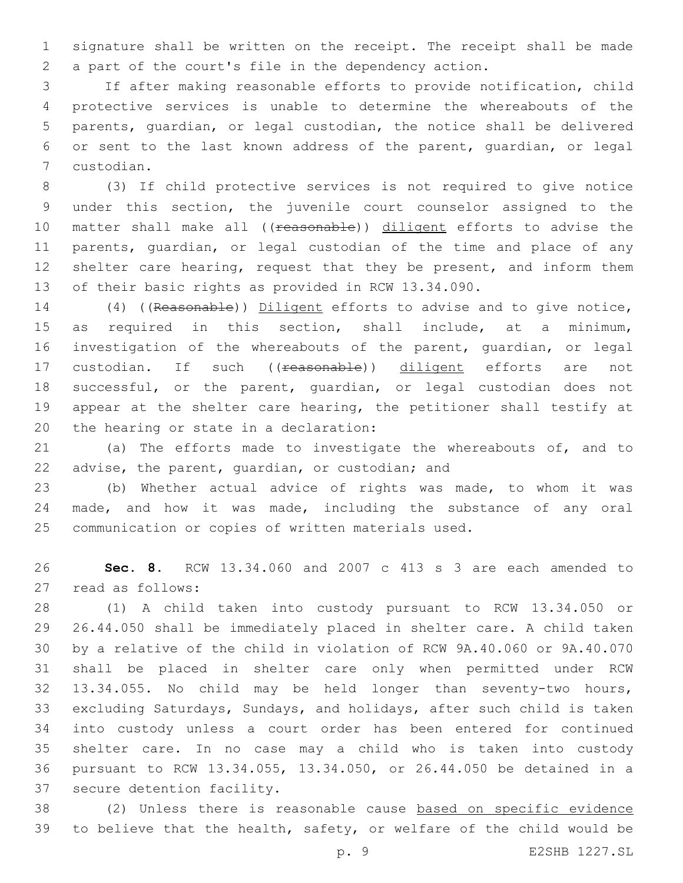signature shall be written on the receipt. The receipt shall be made a part of the court's file in the dependency action.

 If after making reasonable efforts to provide notification, child protective services is unable to determine the whereabouts of the parents, guardian, or legal custodian, the notice shall be delivered or sent to the last known address of the parent, guardian, or legal custodian.7

 (3) If child protective services is not required to give notice under this section, the juvenile court counselor assigned to the 10 matter shall make all ((reasonable)) diligent efforts to advise the parents, guardian, or legal custodian of the time and place of any 12 shelter care hearing, request that they be present, and inform them of their basic rights as provided in RCW 13.34.090.

 (4) ((Reasonable)) Diligent efforts to advise and to give notice, as required in this section, shall include, at a minimum, investigation of the whereabouts of the parent, guardian, or legal 17 custodian. If such ((reasonable)) diligent efforts are not successful, or the parent, guardian, or legal custodian does not appear at the shelter care hearing, the petitioner shall testify at 20 the hearing or state in a declaration:

 (a) The efforts made to investigate the whereabouts of, and to 22 advise, the parent, quardian, or custodian; and

 (b) Whether actual advice of rights was made, to whom it was made, and how it was made, including the substance of any oral communication or copies of written materials used.

 **Sec. 8.** RCW 13.34.060 and 2007 c 413 s 3 are each amended to 27 read as follows:

 (1) A child taken into custody pursuant to RCW 13.34.050 or 26.44.050 shall be immediately placed in shelter care. A child taken by a relative of the child in violation of RCW 9A.40.060 or 9A.40.070 shall be placed in shelter care only when permitted under RCW 13.34.055. No child may be held longer than seventy-two hours, excluding Saturdays, Sundays, and holidays, after such child is taken into custody unless a court order has been entered for continued shelter care. In no case may a child who is taken into custody pursuant to RCW 13.34.055, 13.34.050, or 26.44.050 be detained in a 37 secure detention facility.

 (2) Unless there is reasonable cause based on specific evidence to believe that the health, safety, or welfare of the child would be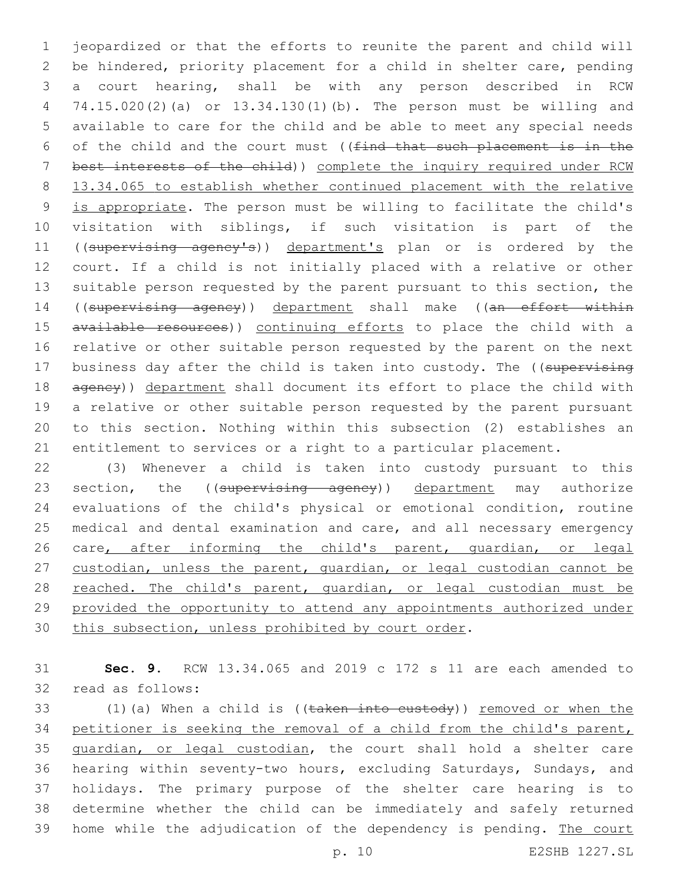jeopardized or that the efforts to reunite the parent and child will be hindered, priority placement for a child in shelter care, pending a court hearing, shall be with any person described in RCW 74.15.020(2)(a) or 13.34.130(1)(b). The person must be willing and available to care for the child and be able to meet any special needs 6 of the child and the court must ( $(find$  that such placement is in the best interests of the child)) complete the inquiry required under RCW 13.34.065 to establish whether continued placement with the relative is appropriate. The person must be willing to facilitate the child's visitation with siblings, if such visitation is part of the 11 ((supervising agency's)) department's plan or is ordered by the court. If a child is not initially placed with a relative or other suitable person requested by the parent pursuant to this section, the 14 ((supervising agency)) department shall make ((an effort within 15 available resources)) continuing efforts to place the child with a relative or other suitable person requested by the parent on the next 17 business day after the child is taken into custody. The ((supervising 18 agency)) department shall document its effort to place the child with a relative or other suitable person requested by the parent pursuant to this section. Nothing within this subsection (2) establishes an entitlement to services or a right to a particular placement.

 (3) Whenever a child is taken into custody pursuant to this 23 section, the ((supervising agency)) department may authorize evaluations of the child's physical or emotional condition, routine medical and dental examination and care, and all necessary emergency 26 care, after informing the child's parent, quardian, or legal custodian, unless the parent, guardian, or legal custodian cannot be 28 reached. The child's parent, guardian, or legal custodian must be provided the opportunity to attend any appointments authorized under this subsection, unless prohibited by court order.

 **Sec. 9.** RCW 13.34.065 and 2019 c 172 s 11 are each amended to 32 read as follows:

33 (1)(a) When a child is ((taken into custody)) removed or when the petitioner is seeking the removal of a child from the child's parent, guardian, or legal custodian, the court shall hold a shelter care hearing within seventy-two hours, excluding Saturdays, Sundays, and holidays. The primary purpose of the shelter care hearing is to determine whether the child can be immediately and safely returned 39 home while the adjudication of the dependency is pending. The court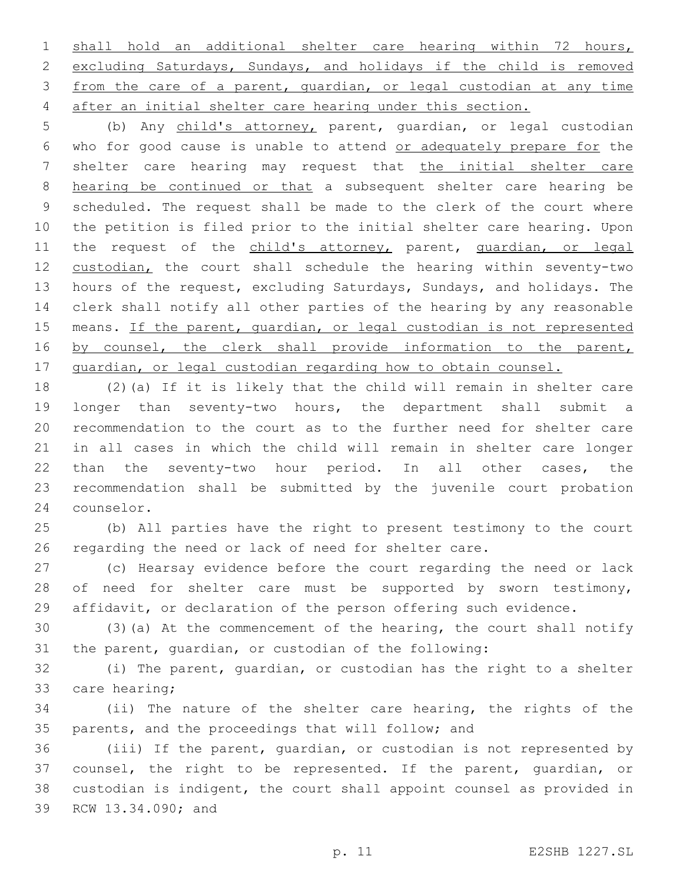shall hold an additional shelter care hearing within 72 hours, excluding Saturdays, Sundays, and holidays if the child is removed from the care of a parent, guardian, or legal custodian at any time after an initial shelter care hearing under this section.

 (b) Any child's attorney, parent, guardian, or legal custodian who for good cause is unable to attend or adequately prepare for the shelter care hearing may request that the initial shelter care hearing be continued or that a subsequent shelter care hearing be scheduled. The request shall be made to the clerk of the court where the petition is filed prior to the initial shelter care hearing. Upon 11 the request of the child's attorney, parent, quardian, or legal 12 custodian, the court shall schedule the hearing within seventy-two hours of the request, excluding Saturdays, Sundays, and holidays. The clerk shall notify all other parties of the hearing by any reasonable 15 means. If the parent, quardian, or legal custodian is not represented 16 by counsel, the clerk shall provide information to the parent, 17 quardian, or legal custodian regarding how to obtain counsel.

 (2)(a) If it is likely that the child will remain in shelter care longer than seventy-two hours, the department shall submit a recommendation to the court as to the further need for shelter care in all cases in which the child will remain in shelter care longer than the seventy-two hour period. In all other cases, the recommendation shall be submitted by the juvenile court probation 24 counselor.

 (b) All parties have the right to present testimony to the court regarding the need or lack of need for shelter care.

 (c) Hearsay evidence before the court regarding the need or lack 28 of need for shelter care must be supported by sworn testimony, affidavit, or declaration of the person offering such evidence.

 (3)(a) At the commencement of the hearing, the court shall notify the parent, guardian, or custodian of the following:

 (i) The parent, guardian, or custodian has the right to a shelter 33 care hearing;

 (ii) The nature of the shelter care hearing, the rights of the parents, and the proceedings that will follow; and

 (iii) If the parent, guardian, or custodian is not represented by counsel, the right to be represented. If the parent, guardian, or custodian is indigent, the court shall appoint counsel as provided in 39 RCW 13.34.090; and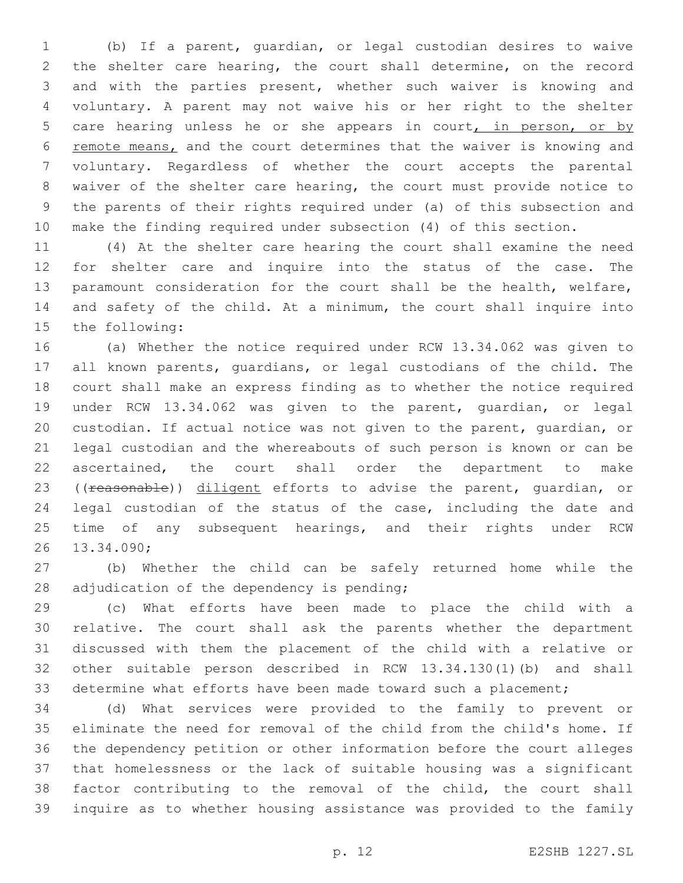(b) If a parent, guardian, or legal custodian desires to waive the shelter care hearing, the court shall determine, on the record and with the parties present, whether such waiver is knowing and voluntary. A parent may not waive his or her right to the shelter 5 care hearing unless he or she appears in court, in person, or by remote means, and the court determines that the waiver is knowing and voluntary. Regardless of whether the court accepts the parental waiver of the shelter care hearing, the court must provide notice to the parents of their rights required under (a) of this subsection and make the finding required under subsection (4) of this section.

 (4) At the shelter care hearing the court shall examine the need for shelter care and inquire into the status of the case. The paramount consideration for the court shall be the health, welfare, and safety of the child. At a minimum, the court shall inquire into 15 the following:

 (a) Whether the notice required under RCW 13.34.062 was given to all known parents, guardians, or legal custodians of the child. The court shall make an express finding as to whether the notice required under RCW 13.34.062 was given to the parent, guardian, or legal custodian. If actual notice was not given to the parent, guardian, or legal custodian and the whereabouts of such person is known or can be ascertained, the court shall order the department to make 23 ((reasonable)) diligent efforts to advise the parent, quardian, or legal custodian of the status of the case, including the date and 25 time of any subsequent hearings, and their rights under RCW 13.34.090;26

 (b) Whether the child can be safely returned home while the 28 adjudication of the dependency is pending;

 (c) What efforts have been made to place the child with a relative. The court shall ask the parents whether the department discussed with them the placement of the child with a relative or other suitable person described in RCW 13.34.130(1)(b) and shall determine what efforts have been made toward such a placement;

 (d) What services were provided to the family to prevent or eliminate the need for removal of the child from the child's home. If the dependency petition or other information before the court alleges that homelessness or the lack of suitable housing was a significant factor contributing to the removal of the child, the court shall inquire as to whether housing assistance was provided to the family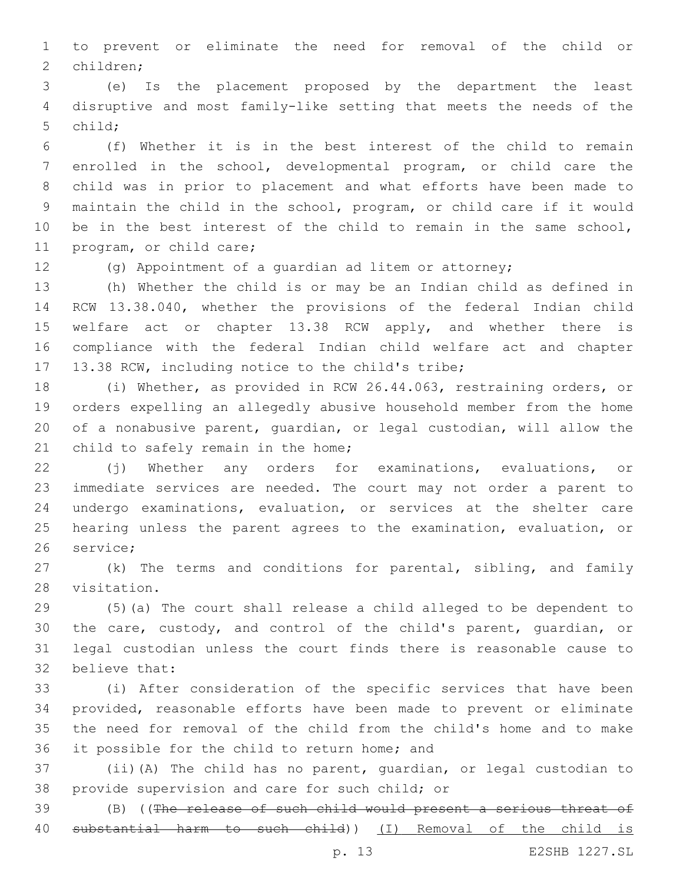to prevent or eliminate the need for removal of the child or 2 children;

 (e) Is the placement proposed by the department the least disruptive and most family-like setting that meets the needs of the 5 child:

 (f) Whether it is in the best interest of the child to remain enrolled in the school, developmental program, or child care the child was in prior to placement and what efforts have been made to maintain the child in the school, program, or child care if it would be in the best interest of the child to remain in the same school, 11 program, or child care;

(g) Appointment of a guardian ad litem or attorney;

 (h) Whether the child is or may be an Indian child as defined in RCW 13.38.040, whether the provisions of the federal Indian child 15 welfare act or chapter 13.38 RCW apply, and whether there is compliance with the federal Indian child welfare act and chapter 17 13.38 RCW, including notice to the child's tribe;

 (i) Whether, as provided in RCW 26.44.063, restraining orders, or orders expelling an allegedly abusive household member from the home of a nonabusive parent, guardian, or legal custodian, will allow the 21 child to safely remain in the home;

 (j) Whether any orders for examinations, evaluations, or immediate services are needed. The court may not order a parent to undergo examinations, evaluation, or services at the shelter care hearing unless the parent agrees to the examination, evaluation, or 26 service:

 (k) The terms and conditions for parental, sibling, and family 28 visitation.

 (5)(a) The court shall release a child alleged to be dependent to the care, custody, and control of the child's parent, guardian, or legal custodian unless the court finds there is reasonable cause to 32 believe that:

 (i) After consideration of the specific services that have been provided, reasonable efforts have been made to prevent or eliminate the need for removal of the child from the child's home and to make 36 it possible for the child to return home; and

 (ii)(A) The child has no parent, guardian, or legal custodian to 38 provide supervision and care for such child; or

 (B) ((The release of such child would present a serious threat of substantial harm to such child)) (I) Removal of the child is

p. 13 E2SHB 1227.SL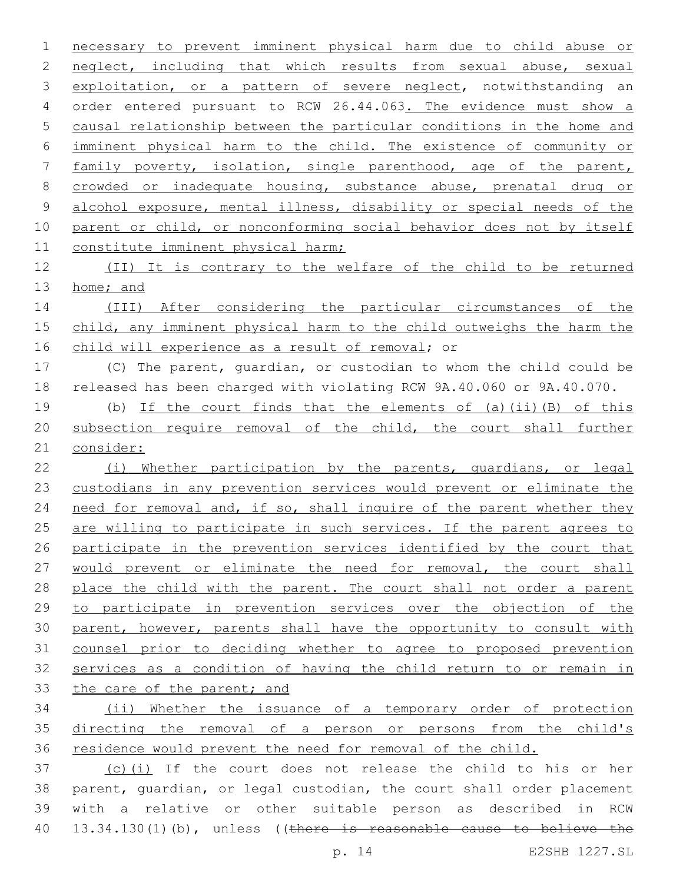necessary to prevent imminent physical harm due to child abuse or neglect, including that which results from sexual abuse, sexual 3 exploitation, or a pattern of severe neglect, notwithstanding an order entered pursuant to RCW 26.44.063. The evidence must show a causal relationship between the particular conditions in the home and imminent physical harm to the child. The existence of community or family poverty, isolation, single parenthood, age of the parent, crowded or inadequate housing, substance abuse, prenatal drug or alcohol exposure, mental illness, disability or special needs of the 10 parent or child, or nonconforming social behavior does not by itself 11 constitute imminent physical harm; (II) It is contrary to the welfare of the child to be returned 13 home; and (III) After considering the particular circumstances of the child, any imminent physical harm to the child outweighs the harm the 16 child will experience as a result of removal; or (C) The parent, guardian, or custodian to whom the child could be released has been charged with violating RCW 9A.40.060 or 9A.40.070. (b) If the court finds that the elements of (a)(ii)(B) of this subsection require removal of the child, the court shall further consider: (i) Whether participation by the parents, guardians, or legal custodians in any prevention services would prevent or eliminate the 24 need for removal and, if so, shall inquire of the parent whether they 25 are willing to participate in such services. If the parent agrees to participate in the prevention services identified by the court that would prevent or eliminate the need for removal, the court shall 28 place the child with the parent. The court shall not order a parent to participate in prevention services over the objection of the parent, however, parents shall have the opportunity to consult with counsel prior to deciding whether to agree to proposed prevention services as a condition of having the child return to or remain in 33 the care of the parent; and (ii) Whether the issuance of a temporary order of protection directing the removal of a person or persons from the child's 36 residence would prevent the need for removal of the child. (c)(i) If the court does not release the child to his or her parent, guardian, or legal custodian, the court shall order placement with a relative or other suitable person as described in RCW

40 13.34.130(1)(b), unless ((there is reasonable cause to believe the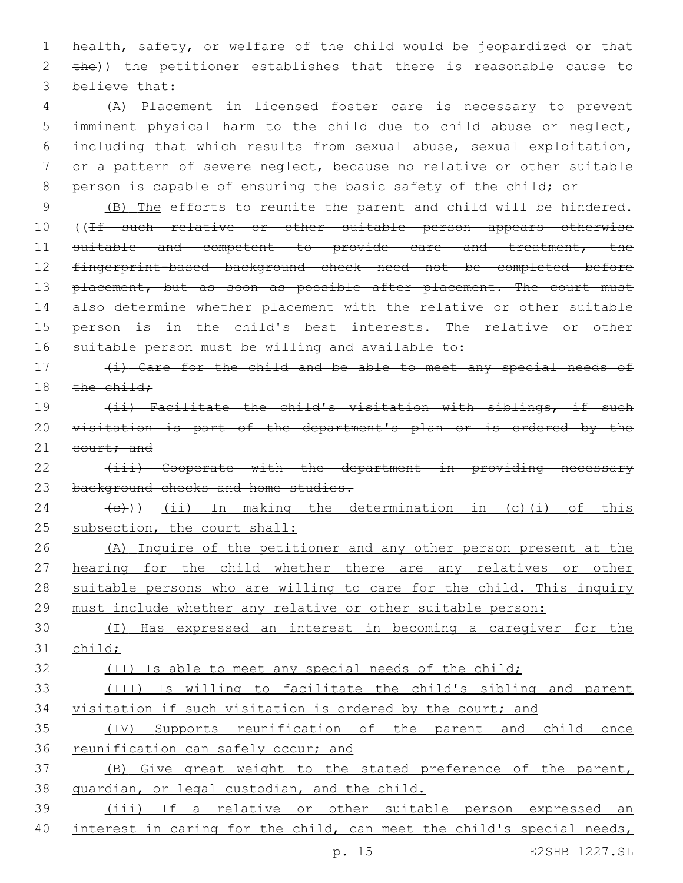1 health, safety, or welfare of the child would be jeopardized or that 2 the)) the petitioner establishes that there is reasonable cause to 3 believe that:

 (A) Placement in licensed foster care is necessary to prevent imminent physical harm to the child due to child abuse or neglect, including that which results from sexual abuse, sexual exploitation, or a pattern of severe neglect, because no relative or other suitable 8 person is capable of ensuring the basic safety of the child; or

9 (B) The efforts to reunite the parent and child will be hindered. 10 ((If such relative or other suitable person appears otherwise 11 suitable and competent to provide care and treatment, the 12 fingerprint-based background check need not be completed before 13 placement, but as soon as possible after placement. The court must 14 also determine whether placement with the relative or other suitable 15 person is in the child's best interests. The relative or other 16 suitable person must be willing and available to:

17 (i) Care for the child and be able to meet any special needs of 18  $the child;$ 

19 (ii) Facilitate the child's visitation with siblings, if such 20 visitation is part of the department's plan or is ordered by the 21 court; and

22 (iii) Cooperate with the department in providing necessary 23 background checks and home studies.

 $(24 \t (-))$  (ii) In making the determination in (c)(i) of this 25 subsection, the court shall:

26 (A) Inquire of the petitioner and any other person present at the 27 hearing for the child whether there are any relatives or other 28 suitable persons who are willing to care for the child. This inquiry 29 must include whether any relative or other suitable person:

30 (I) Has expressed an interest in becoming a caregiver for the 31 child;

32 (II) Is able to meet any special needs of the child;

33 (III) Is willing to facilitate the child's sibling and parent 34 visitation if such visitation is ordered by the court; and

35 (IV) Supports reunification of the parent and child once 36 reunification can safely occur; and

37 (B) Give great weight to the stated preference of the parent, 38 guardian, or legal custodian, and the child.

39 (iii) If a relative or other suitable person expressed an 40 interest in caring for the child, can meet the child's special needs,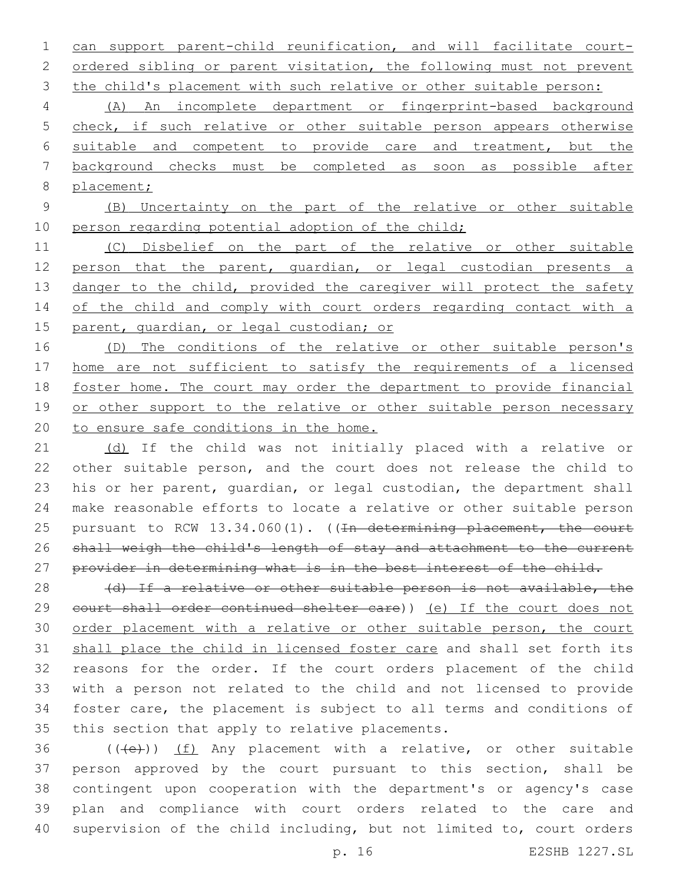can support parent-child reunification, and will facilitate court-2 ordered sibling or parent visitation, the following must not prevent 3 the child's placement with such relative or other suitable person:

 (A) An incomplete department or fingerprint-based background 5 check, if such relative or other suitable person appears otherwise suitable and competent to provide care and treatment, but the background checks must be completed as soon as possible after placement;

 (B) Uncertainty on the part of the relative or other suitable 10 person regarding potential adoption of the child;

 (C) Disbelief on the part of the relative or other suitable 12 person that the parent, quardian, or legal custodian presents a 13 danger to the child, provided the caregiver will protect the safety 14 of the child and comply with court orders regarding contact with a 15 parent, quardian, or legal custodian; or

 (D) The conditions of the relative or other suitable person's home are not sufficient to satisfy the requirements of a licensed foster home. The court may order the department to provide financial 19 or other support to the relative or other suitable person necessary to ensure safe conditions in the home.

21 (d) If the child was not initially placed with a relative or other suitable person, and the court does not release the child to his or her parent, guardian, or legal custodian, the department shall make reasonable efforts to locate a relative or other suitable person 25 pursuant to RCW 13.34.060(1). ((In determining placement, the court shall weigh the child's length of stay and attachment to the current 27 provider in determining what is in the best interest of the child.

28 (d) If a relative or other suitable person is not available, the 29 court shall order continued shelter care)) (e) If the court does not order placement with a relative or other suitable person, the court shall place the child in licensed foster care and shall set forth its reasons for the order. If the court orders placement of the child with a person not related to the child and not licensed to provide foster care, the placement is subject to all terms and conditions of 35 this section that apply to relative placements.

 (((e))) (f) Any placement with a relative, or other suitable person approved by the court pursuant to this section, shall be contingent upon cooperation with the department's or agency's case plan and compliance with court orders related to the care and supervision of the child including, but not limited to, court orders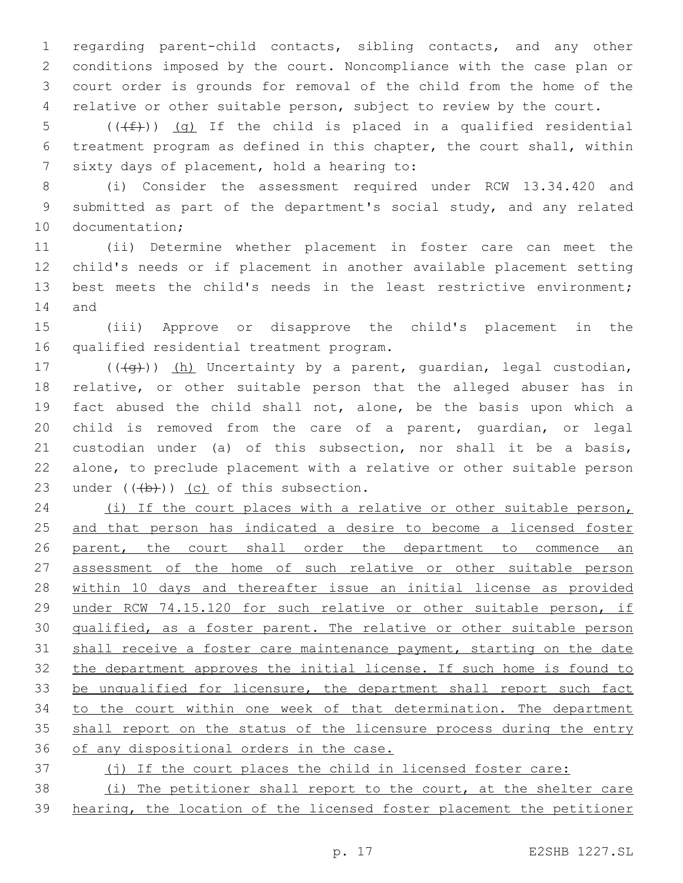regarding parent-child contacts, sibling contacts, and any other conditions imposed by the court. Noncompliance with the case plan or court order is grounds for removal of the child from the home of the relative or other suitable person, subject to review by the court.

5 ( $(\text{+f})$ ) (g) If the child is placed in a qualified residential treatment program as defined in this chapter, the court shall, within 7 sixty days of placement, hold a hearing to:

 (i) Consider the assessment required under RCW 13.34.420 and submitted as part of the department's social study, and any related 10 documentation;

 (ii) Determine whether placement in foster care can meet the child's needs or if placement in another available placement setting best meets the child's needs in the least restrictive environment; 14 and

 (iii) Approve or disapprove the child's placement in the 16 qualified residential treatment program.

17 (((g)) (h) Uncertainty by a parent, guardian, legal custodian, relative, or other suitable person that the alleged abuser has in fact abused the child shall not, alone, be the basis upon which a child is removed from the care of a parent, guardian, or legal custodian under (a) of this subsection, nor shall it be a basis, alone, to preclude placement with a relative or other suitable person 23 under  $((+b))$  (c) of this subsection.

 (i) If the court places with a relative or other suitable person, and that person has indicated a desire to become a licensed foster 26 parent, the court shall order the department to commence an assessment of the home of such relative or other suitable person within 10 days and thereafter issue an initial license as provided under RCW 74.15.120 for such relative or other suitable person, if 30 qualified, as a foster parent. The relative or other suitable person shall receive a foster care maintenance payment, starting on the date the department approves the initial license. If such home is found to 33 be unqualified for licensure, the department shall report such fact to the court within one week of that determination. The department 35 shall report on the status of the licensure process during the entry 36 of any dispositional orders in the case.

37 (j) If the court places the child in licensed foster care:

 (i) The petitioner shall report to the court, at the shelter care hearing, the location of the licensed foster placement the petitioner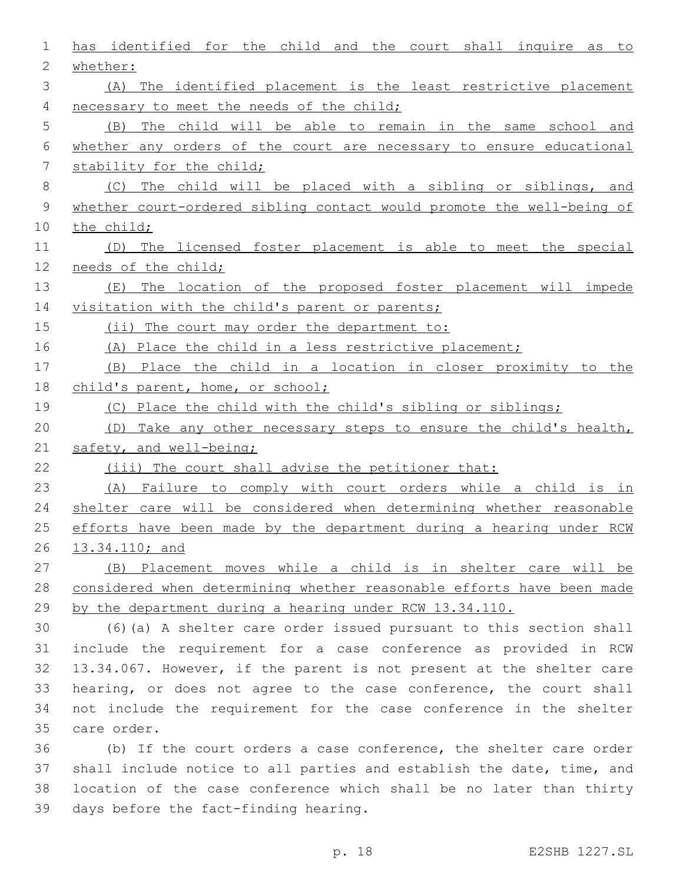| 1              | has identified for the child and the court shall inquire as to        |
|----------------|-----------------------------------------------------------------------|
| $\overline{2}$ | whether:                                                              |
| 3              | (A) The identified placement is the least restrictive placement       |
| 4              | necessary to meet the needs of the child;                             |
| 5              | The child will be able to remain in the same school and<br>(B)        |
| 6              | whether any orders of the court are necessary to ensure educational   |
| 7              | stability for the child;                                              |
| 8              | (C) The child will be placed with a sibling or siblings, and          |
| 9              | whether court-ordered sibling contact would promote the well-being of |
| 10             | the child;                                                            |
| 11             | (D) The licensed foster placement is able to meet the special         |
| 12             | needs of the child;                                                   |
| 13             | The location of the proposed foster placement will impede<br>( E )    |
| 14             | visitation with the child's parent or parents;                        |
| 15             | (ii) The court may order the department to:                           |
| 16             | (A) Place the child in a less restrictive placement;                  |
| 17             | (B) Place the child in a location in closer proximity to the          |
| 18             | child's parent, home, or school;                                      |
| 19             | (C) Place the child with the child's sibling or siblings;             |
| 20             | (D) Take any other necessary steps to ensure the child's health,      |
| 21             | safety, and well-being;                                               |
| 22             | (iii) The court shall advise the petitioner that:                     |
| 23             | (A) Failure to comply with court orders while a child is in           |
| 24             | shelter care will be considered when determining whether reasonable   |
| 25             | efforts have been made by the department during a hearing under RCW   |
| 26             | 13.34.110; and                                                        |
| 27             | (B) Placement moves while a child is in shelter care will be          |
| 28             | considered when determining whether reasonable efforts have been made |
| 29             | by the department during a hearing under RCW 13.34.110.               |
| 30             | (6) (a) A shelter care order issued pursuant to this section shall    |
| 31             | include the requirement for a case conference as provided in RCW      |
| 32             | 13.34.067. However, if the parent is not present at the shelter care  |
| 33             | hearing, or does not agree to the case conference, the court shall    |
| 34             | not include the requirement for the case conference in the shelter    |
| 35             | care order.                                                           |
| 36             | (b) If the court orders a case conference, the shelter care order     |
| 37             | shall include notice to all parties and establish the date, time, and |
| 38             | location of the case conference which shall be no later than thirty   |

39 days before the fact-finding hearing.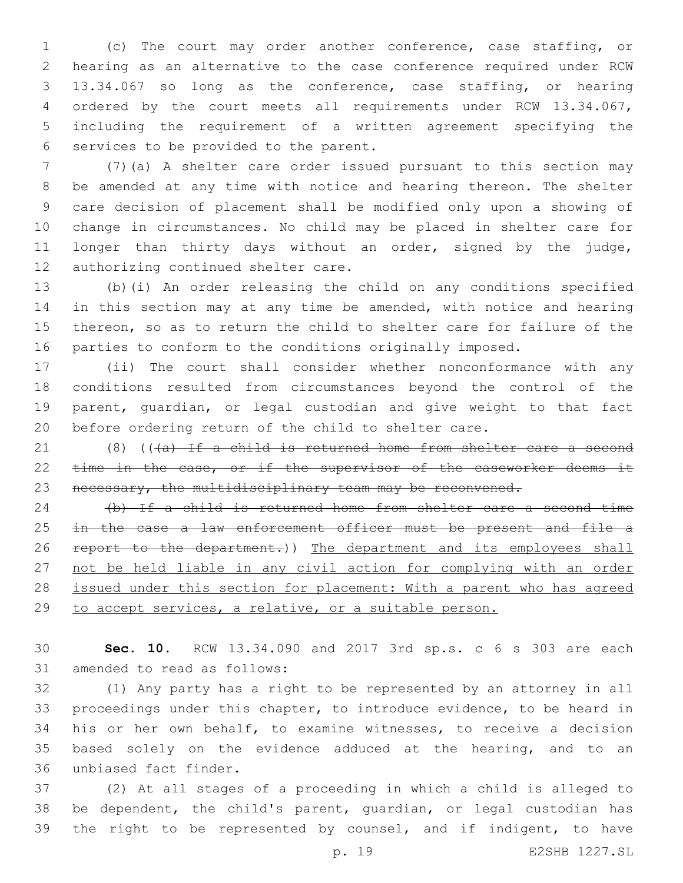(c) The court may order another conference, case staffing, or hearing as an alternative to the case conference required under RCW 13.34.067 so long as the conference, case staffing, or hearing ordered by the court meets all requirements under RCW 13.34.067, including the requirement of a written agreement specifying the 6 services to be provided to the parent.

 (7)(a) A shelter care order issued pursuant to this section may be amended at any time with notice and hearing thereon. The shelter care decision of placement shall be modified only upon a showing of change in circumstances. No child may be placed in shelter care for longer than thirty days without an order, signed by the judge, 12 authorizing continued shelter care.

 (b)(i) An order releasing the child on any conditions specified 14 in this section may at any time be amended, with notice and hearing thereon, so as to return the child to shelter care for failure of the parties to conform to the conditions originally imposed.

 (ii) The court shall consider whether nonconformance with any conditions resulted from circumstances beyond the control of the parent, guardian, or legal custodian and give weight to that fact before ordering return of the child to shelter care.

21 (8) ( $(\overline{a})$  If a child is returned home from shelter care a second 22 time in the case, or if the supervisor of the caseworker deems it 23 necessary, the multidisciplinary team may be reconvened.

 (b) If a child is returned home from shelter care a second time 25 in the case a law enforcement officer must be present and file a 26 report to the department.)) The department and its employees shall not be held liable in any civil action for complying with an order 28 issued under this section for placement: With a parent who has agreed to accept services, a relative, or a suitable person.

 **Sec. 10.** RCW 13.34.090 and 2017 3rd sp.s. c 6 s 303 are each 31 amended to read as follows:

 (1) Any party has a right to be represented by an attorney in all proceedings under this chapter, to introduce evidence, to be heard in his or her own behalf, to examine witnesses, to receive a decision based solely on the evidence adduced at the hearing, and to an 36 unbiased fact finder.

 (2) At all stages of a proceeding in which a child is alleged to be dependent, the child's parent, guardian, or legal custodian has 39 the right to be represented by counsel, and if indigent, to have

p. 19 E2SHB 1227.SL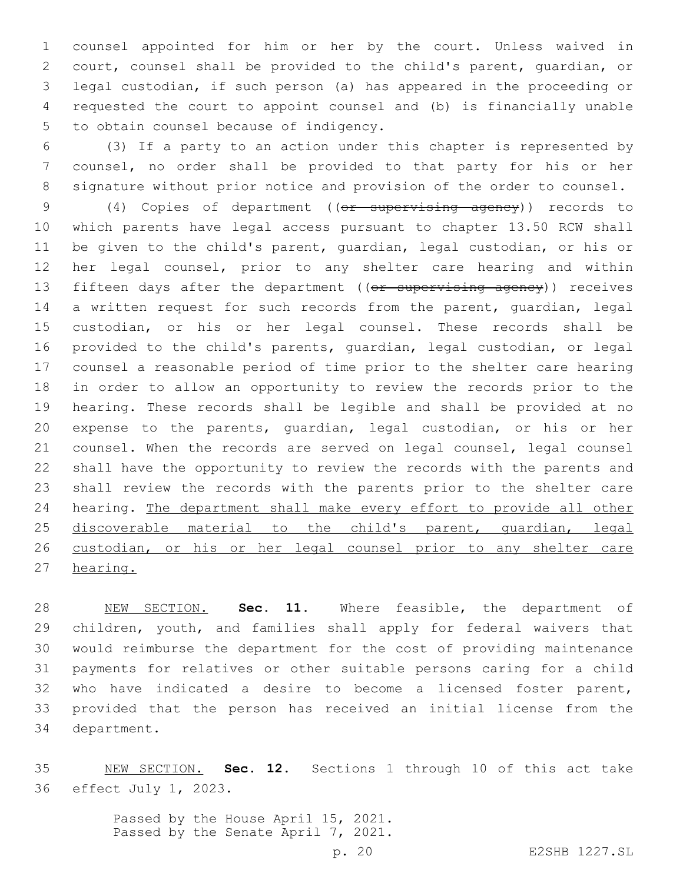counsel appointed for him or her by the court. Unless waived in court, counsel shall be provided to the child's parent, guardian, or legal custodian, if such person (a) has appeared in the proceeding or requested the court to appoint counsel and (b) is financially unable 5 to obtain counsel because of indigency.

 (3) If a party to an action under this chapter is represented by counsel, no order shall be provided to that party for his or her signature without prior notice and provision of the order to counsel.

 (4) Copies of department ((or supervising agency)) records to which parents have legal access pursuant to chapter 13.50 RCW shall be given to the child's parent, guardian, legal custodian, or his or her legal counsel, prior to any shelter care hearing and within 13 fifteen days after the department ((or supervising agency)) receives 14 a written request for such records from the parent, quardian, legal custodian, or his or her legal counsel. These records shall be provided to the child's parents, guardian, legal custodian, or legal counsel a reasonable period of time prior to the shelter care hearing in order to allow an opportunity to review the records prior to the hearing. These records shall be legible and shall be provided at no expense to the parents, guardian, legal custodian, or his or her counsel. When the records are served on legal counsel, legal counsel shall have the opportunity to review the records with the parents and shall review the records with the parents prior to the shelter care hearing. The department shall make every effort to provide all other 25 discoverable material to the child's parent, guardian, legal custodian, or his or her legal counsel prior to any shelter care hearing.

 NEW SECTION. **Sec. 11.** Where feasible, the department of children, youth, and families shall apply for federal waivers that would reimburse the department for the cost of providing maintenance payments for relatives or other suitable persons caring for a child who have indicated a desire to become a licensed foster parent, provided that the person has received an initial license from the department.

 NEW SECTION. **Sec. 12.** Sections 1 through 10 of this act take effect July 1, 2023.

> Passed by the House April 15, 2021. Passed by the Senate April 7, 2021.